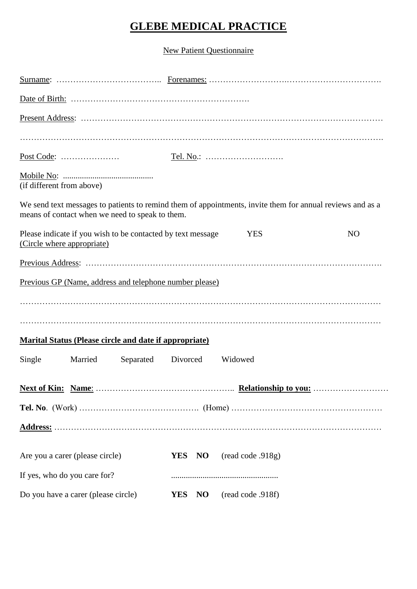# **GLEBE MEDICAL PRACTICE**

New Patient Questionnaire

| (if different from above)           |         |                                                               |            |                |                                                                                                           |                |
|-------------------------------------|---------|---------------------------------------------------------------|------------|----------------|-----------------------------------------------------------------------------------------------------------|----------------|
|                                     |         | means of contact when we need to speak to them.               |            |                | We send text messages to patients to remind them of appointments, invite them for annual reviews and as a |                |
| (Circle where appropriate)          |         | Please indicate if you wish to be contacted by text message   |            |                | <b>YES</b>                                                                                                | N <sub>O</sub> |
|                                     |         |                                                               |            |                |                                                                                                           |                |
|                                     |         | Previous GP (Name, address and telephone number please)       |            |                |                                                                                                           |                |
|                                     |         |                                                               |            |                |                                                                                                           |                |
|                                     |         |                                                               |            |                |                                                                                                           |                |
|                                     |         | <b>Marital Status (Please circle and date if appropriate)</b> |            |                |                                                                                                           |                |
| Single                              | Married | Separated Divorced                                            |            |                | Widowed                                                                                                   |                |
|                                     |         |                                                               |            |                |                                                                                                           |                |
|                                     |         |                                                               |            |                |                                                                                                           |                |
|                                     |         |                                                               |            |                |                                                                                                           |                |
|                                     |         |                                                               |            |                |                                                                                                           |                |
| Are you a carer (please circle)     |         |                                                               | YES NO     |                | (read code .918g)                                                                                         |                |
| If yes, who do you care for?        |         |                                                               |            |                |                                                                                                           |                |
| Do you have a carer (please circle) |         |                                                               | <b>YES</b> | N <sub>O</sub> | (read code .918f)                                                                                         |                |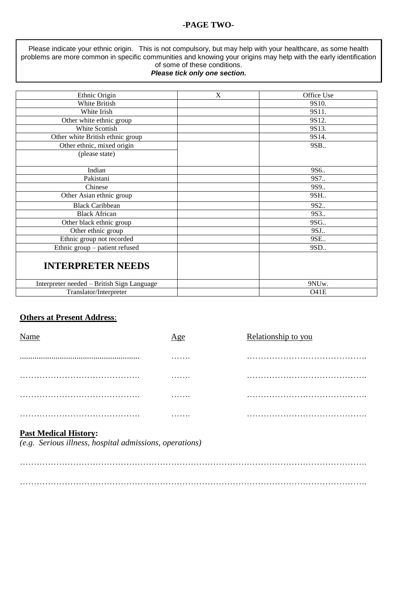#### **-PAGE TWO-**

Please indicate your ethnic origin. This is not compulsory, but may help with your healthcare, as some health problems are more common in specific communities and knowing your origins may help with the early identification of some of these conditions.

#### *Please tick only one section.*

| Ethnic Origin                              | $\mathbf X$ | Office Use |
|--------------------------------------------|-------------|------------|
| White British                              |             | 9S10.      |
| White Irish                                |             | 9S11.      |
| Other white ethnic group                   |             | 9S12.      |
| <b>White Scottish</b>                      |             | 9S13.      |
| Other white British ethnic group           |             | 9S14.      |
| Other ethnic, mixed origin                 |             | 9SB        |
| (please state)                             |             |            |
|                                            |             |            |
| Indian                                     |             | 9S6        |
| Pakistani                                  |             | 9S7        |
| Chinese                                    |             | 9S9.       |
| Other Asian ethnic group                   |             | 9SH        |
| <b>Black Caribbean</b>                     |             | 9S2        |
| <b>Black African</b>                       |             | 9S3.       |
| Other black ethnic group                   |             | 9SG        |
| Other ethnic group                         |             | 9SJ        |
| Ethnic group not recorded                  |             | 9SE        |
| Ethnic group - patient refused             |             | 9SD        |
| <b>INTERPRETER NEEDS</b>                   |             |            |
| Interpreter needed - British Sign Language |             | 9NUw.      |
| Translator/Interpreter                     |             | O41E       |

#### **Others at Present Address**:

| Name | Age | Relationship to you |
|------|-----|---------------------|
|      | .   |                     |
|      | .   |                     |
|      | .   |                     |
|      | .   |                     |

## **Past Medical History:**

*(e.g. Serious illness, hospital admissions, operations)*

……………………………………………………………………………………………………………. …………………………………………………………………………………………………………….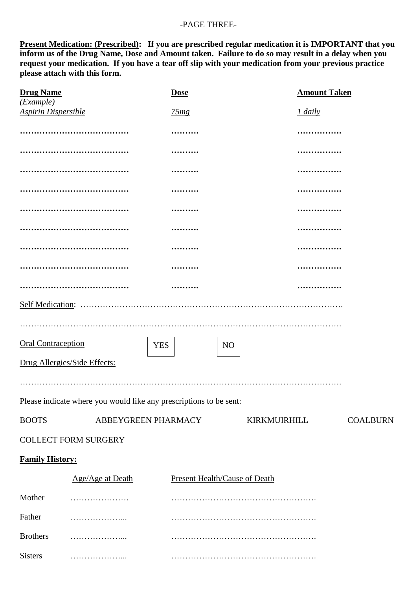#### -PAGE THREE-

**Present Medication: (Prescribed): If you are prescribed regular medication it is IMPORTANT that you inform us of the Drug Name, Dose and Amount taken. Failure to do so may result in a delay when you request your medication. If you have a tear off slip with your medication from your previous practice please attach with this form.** 

| <b>Drug Name</b>                        |                              | <b>Dose</b>                                                        | <b>Amount Taken</b> |  |
|-----------------------------------------|------------------------------|--------------------------------------------------------------------|---------------------|--|
| (Example)<br><b>Aspirin Dispersible</b> |                              | 75mg                                                               | 1 daily             |  |
|                                         |                              |                                                                    |                     |  |
|                                         |                              |                                                                    |                     |  |
|                                         |                              |                                                                    |                     |  |
|                                         |                              |                                                                    | .                   |  |
|                                         |                              |                                                                    | .                   |  |
|                                         |                              |                                                                    |                     |  |
|                                         |                              |                                                                    |                     |  |
|                                         |                              |                                                                    |                     |  |
|                                         |                              |                                                                    | .                   |  |
|                                         |                              |                                                                    |                     |  |
|                                         |                              |                                                                    |                     |  |
| <b>Oral Contraception</b>               |                              | <b>YES</b><br>N <sub>O</sub>                                       |                     |  |
|                                         | Drug Allergies/Side Effects: |                                                                    |                     |  |
|                                         |                              |                                                                    |                     |  |
|                                         |                              | Please indicate where you would like any prescriptions to be sent: |                     |  |
| <b>BOOTS</b>                            |                              | ABBEYGREEN PHARMACY<br>KIRKMUIRHILL                                |                     |  |
|                                         | <b>COLLECT FORM SURGERY</b>  |                                                                    |                     |  |
| <b>Family History:</b>                  |                              |                                                                    |                     |  |
|                                         | Age/Age at Death             | <b>Present Health/Cause of Death</b>                               |                     |  |
| Mother                                  |                              |                                                                    |                     |  |
| Father                                  | .                            |                                                                    |                     |  |
| <b>Brothers</b>                         |                              |                                                                    |                     |  |
| <b>Sisters</b>                          |                              |                                                                    |                     |  |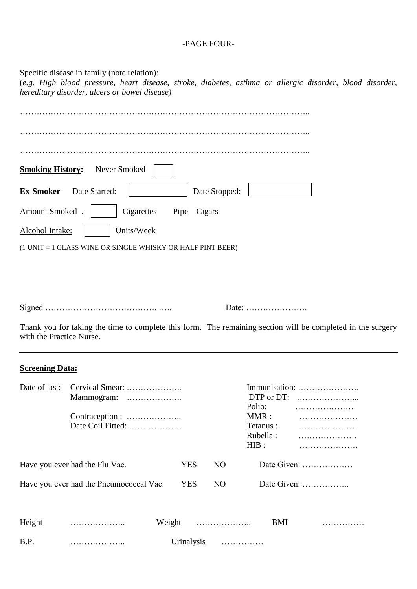#### -PAGE FOUR-

Specific disease in family (note relation): (*e.g. High blood pressure, heart disease, stroke, diabetes, asthma or allergic disorder, blood disorder, hereditary disorder, ulcers or bowel disease)*

| Never Smoked<br><b>Smoking History:</b>                    |
|------------------------------------------------------------|
| <b>Ex-Smoker</b><br>Date Stopped:<br>Date Started:         |
| Amount Smoked.<br>Cigarettes<br>Pipe<br>Cigars             |
| Units/Week<br>Alcohol Intake:                              |
| (1 UNIT = 1 GLASS WINE OR SINGLE WHISKY OR HALF PINT BEER) |

Signed …………………………………. ….. Date: ………………….

Thank you for taking the time to complete this form. The remaining section will be completed in the surgery with the Practice Nurse.

#### **Screening Data:**

| Date of last:                           | Cervical Smear:<br>Mammogram:<br>Date Coil Fitted: |  |            |                 | DTP or DT:<br>Polio:<br>MMR:<br>Tetanus :<br>Rubella:<br>HIB: | Immunisation:                         |
|-----------------------------------------|----------------------------------------------------|--|------------|-----------------|---------------------------------------------------------------|---------------------------------------|
| Have you ever had the Flu Vac.          |                                                    |  | YES        | NO.             |                                                               | Date Given:                           |
| Have you ever had the Pneumococcal Vac. |                                                    |  | <b>YES</b> | NO <sub>1</sub> |                                                               | Date Given: $\dots \dots \dots \dots$ |
| Height                                  |                                                    |  |            | Weight          | <b>BMI</b>                                                    |                                       |
| B.P.                                    | .                                                  |  | Urinalysis | .               |                                                               |                                       |